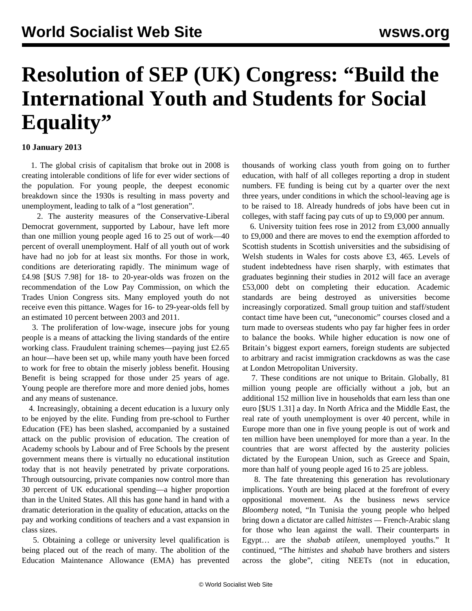## **Resolution of SEP (UK) Congress: "Build the International Youth and Students for Social Equality"**

## **10 January 2013**

 1. The global crisis of capitalism that broke out in 2008 is creating intolerable conditions of life for ever wider sections of the population. For young people, the deepest economic breakdown since the 1930s is resulting in mass poverty and unemployment, leading to talk of a "lost generation".

 2. The austerity measures of the Conservative-Liberal Democrat government, supported by Labour, have left more than one million young people aged 16 to 25 out of work—40 percent of overall unemployment. Half of all youth out of work have had no job for at least six months. For those in work, conditions are deteriorating rapidly. The minimum wage of £4.98 [\$US 7.98] for 18- to 20-year-olds was frozen on the recommendation of the Low Pay Commission, on which the Trades Union Congress sits. Many employed youth do not receive even this pittance. Wages for 16- to 29-year-olds fell by an estimated 10 percent between 2003 and 2011.

 3. The proliferation of low-wage, insecure jobs for young people is a means of attacking the living standards of the entire working class. Fraudulent training schemes—paying just £2.65 an hour—have been set up, while many youth have been forced to work for free to obtain the miserly jobless benefit. Housing Benefit is being scrapped for those under 25 years of age. Young people are therefore more and more denied jobs, homes and any means of sustenance.

 4. Increasingly, obtaining a decent education is a luxury only to be enjoyed by the elite. Funding from pre-school to Further Education (FE) has been slashed, accompanied by a sustained attack on the public provision of education. The creation of Academy schools by Labour and of Free Schools by the present government means there is virtually no educational institution today that is not heavily penetrated by private corporations. Through outsourcing, private companies now control more than 30 percent of UK educational spending—a higher proportion than in the United States. All this has gone hand in hand with a dramatic deterioration in the quality of education, attacks on the pay and working conditions of teachers and a vast expansion in class sizes.

 5. Obtaining a college or university level qualification is being placed out of the reach of many. The abolition of the Education Maintenance Allowance (EMA) has prevented thousands of working class youth from going on to further education, with half of all colleges reporting a drop in student numbers. FE funding is being cut by a quarter over the next three years, under conditions in which the school-leaving age is to be raised to 18. Already hundreds of jobs have been cut in colleges, with staff facing pay cuts of up to £9,000 per annum.

 6. University tuition fees rose in 2012 from £3,000 annually to £9,000 and there are moves to end the exemption afforded to Scottish students in Scottish universities and the subsidising of Welsh students in Wales for costs above £3, 465. Levels of student indebtedness have risen sharply, with estimates that graduates beginning their studies in 2012 will face an average £53,000 debt on completing their education. Academic standards are being destroyed as universities become increasingly corporatized. Small group tuition and staff/student contact time have been cut, "uneconomic" courses closed and a turn made to overseas students who pay far higher fees in order to balance the books. While higher education is now one of Britain's biggest export earners, foreign students are subjected to arbitrary and racist immigration crackdowns as was the case at London Metropolitan University.

 7. These conditions are not unique to Britain. Globally, 81 million young people are officially without a job, but an additional 152 million live in households that earn less than one euro [\$US 1.31] a day. In North Africa and the Middle East, the real rate of youth unemployment is over 40 percent, while in Europe more than one in five young people is out of work and ten million have been unemployed for more than a year. In the countries that are worst affected by the austerity policies dictated by the European Union, such as Greece and Spain, more than half of young people aged 16 to 25 are jobless.

 8. The fate threatening this generation has revolutionary implications. Youth are being placed at the forefront of every oppositional movement. As the business news service *Bloomberg* noted, "In Tunisia the young people who helped bring down a dictator are called *hittistes —* French-Arabic slang for those who lean against the wall. Their counterparts in Egypt… are the *shabab atileen*, unemployed youths." It continued, "The *hittistes* and *shabab* have brothers and sisters across the globe", citing NEETs (not in education,